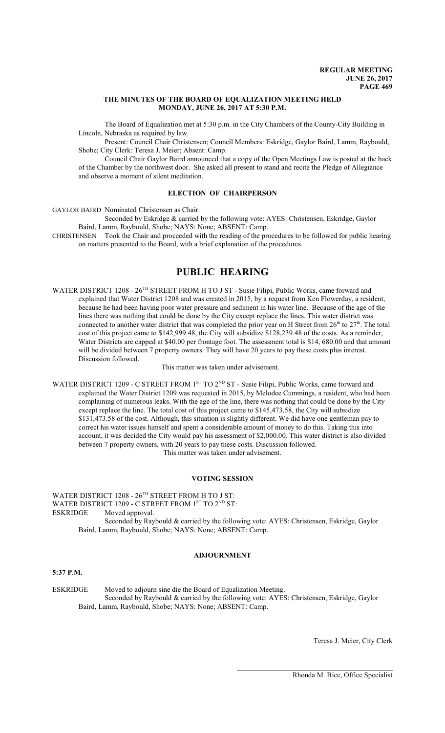#### **THE MINUTES OF THE BOARD OF EQUALIZATION MEETING HELD MONDAY, JUNE 26, 2017 AT 5:30 P.M.**

The Board of Equalization met at 5:30 p.m. in the City Chambers of the County-City Building in Lincoln, Nebraska as required by law.

Present: Council Chair Christensen; Council Members: Eskridge, Gaylor Baird, Lamm, Raybould, Shobe; City Clerk: Teresa J. Meier; Absent: Camp.

Council Chair Gaylor Baird announced that a copy of the Open Meetings Law is posted at the back of the Chamber by the northwest door. She asked all present to stand and recite the Pledge of Allegiance and observe a moment of silent meditation.

#### **ELECTION OF CHAIRPERSON**

GAYLOR BAIRD Nominated Christensen as Chair.

Seconded by Eskridge & carried by the following vote: AYES: Christensen, Eskridge, Gaylor Baird, Lamm, Raybould, Shobe; NAYS: None; ABSENT: Camp.

CHRISTENSEN Took the Chair and proceeded with the reading of the procedures to be followed for public hearing on matters presented to the Board, with a brief explanation of the procedures.

# **PUBLIC HEARING**

WATER DISTRICT 1208 - 26<sup>TH</sup> STREET FROM H TO J ST - Susie Filipi, Public Works, came forward and explained that Water District 1208 and was created in 2015, by a request from Ken Flowerday, a resident, because he had been having poor water pressure and sediment in his water line. Because of the age of the lines there was nothing that could be done by the City except replace the lines. This water district was connected to another water district that was completed the prior year on H Street from  $26<sup>th</sup>$  to  $27<sup>th</sup>$ . The total cost of this project came to \$142,999.48, the City will subsidize \$128,239.48 of the costs. As a reminder, Water Districts are capped at \$40.00 per frontage foot. The assessment total is \$14, 680.00 and that amount will be divided between 7 property owners. They will have 20 years to pay these costs plus interest. Discussion followed.

This matter was taken under advisement.

WATER DISTRICT 1209 - C STREET FROM 1<sup>ST</sup> TO 2<sup>ND</sup> ST - Susie Filipi, Public Works, came forward and explained the Water District 1209 was requested in 2015, by Melodee Cummings, a resident, who had been complaining of numerous leaks. With the age of the line, there was nothing that could be done by the City except replace the line. The total cost of this project came to \$145,473.58, the City will subsidize \$131,473.58 of the cost. Although, this situation is slightly different. We did have one gentleman pay to correct his water issues himself and spent a considerable amount of money to do this. Taking this into account, it was decided the City would pay his assessment of \$2,000.00. This water district is also divided between 7 property owners, with 20 years to pay these costs. Discussion followed. This matter was taken under advisement.

## **VOTING SESSION**

WATER DISTRICT 1208 -  $26^{\text{TH}}$  STREET FROM H TO J ST: WATER DISTRICT 1209 - C STREET FROM 1<sup>ST</sup> TO 2<sup>ND</sup> ST: ESKRIDGE Moved approval. Seconded by Raybould & carried by the following vote: AYES: Christensen, Eskridge, Gaylor Baird, Lamm, Raybould, Shobe; NAYS: None; ABSENT: Camp.

# **ADJOURNMENT**

## **5:37 P.M.**

ESKRIDGE Moved to adjourn sine die the Board of Equalization Meeting. Seconded by Raybould & carried by the following vote: AYES: Christensen, Eskridge, Gaylor Baird, Lamm, Raybould, Shobe; NAYS: None; ABSENT: Camp.

Teresa J. Meier, City Clerk

Rhonda M. Bice, Office Specialist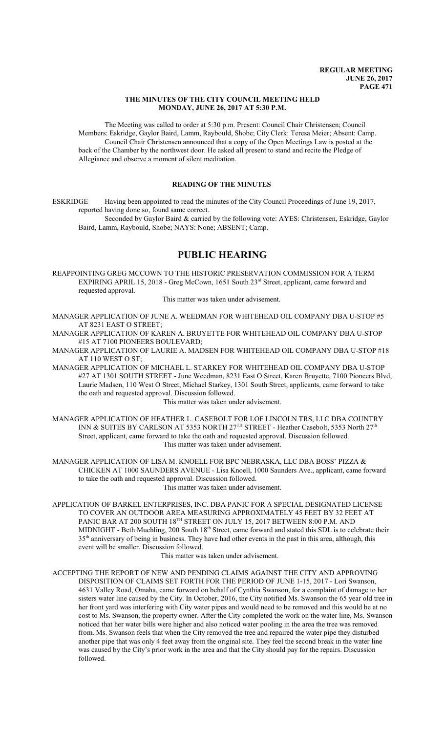## **THE MINUTES OF THE CITY COUNCIL MEETING HELD MONDAY, JUNE 26, 2017 AT 5:30 P.M.**

The Meeting was called to order at 5:30 p.m. Present: Council Chair Christensen; Council Members: Eskridge, Gaylor Baird, Lamm, Raybould, Shobe; City Clerk: Teresa Meier; Absent: Camp. Council Chair Christensen announced that a copy of the Open Meetings Law is posted at the back of the Chamber by the northwest door. He asked all present to stand and recite the Pledge of Allegiance and observe a moment of silent meditation.

# **READING OF THE MINUTES**

ESKRIDGE Having been appointed to read the minutes of the City Council Proceedings of June 19, 2017, reported having done so, found same correct.

Seconded by Gaylor Baird & carried by the following vote: AYES: Christensen, Eskridge, Gaylor Baird, Lamm, Raybould, Shobe; NAYS: None; ABSENT; Camp.

# **PUBLIC HEARING**

REAPPOINTING GREG MCCOWN TO THE HISTORIC PRESERVATION COMMISSION FOR A TERM EXPIRING APRIL 15, 2018 - Greg McCown, 1651 South 23<sup>rd</sup> Street, applicant, came forward and requested approval.

#### This matter was taken under advisement.

MANAGER APPLICATION OF JUNE A. WEEDMAN FOR WHITEHEAD OIL COMPANY DBA U-STOP #5 AT 8231 EAST O STREET;

MANAGER APPLICATION OF KAREN A. BRUYETTE FOR WHITEHEAD OIL COMPANY DBA U-STOP #15 AT 7100 PIONEERS BOULEVARD;

MANAGER APPLICATION OF LAURIE A. MADSEN FOR WHITEHEAD OIL COMPANY DBA U-STOP #18 AT 110 WEST O ST;

MANAGER APPLICATION OF MICHAEL L. STARKEY FOR WHITEHEAD OIL COMPANY DBA U-STOP #27 AT 1301 SOUTH STREET - June Weedman, 8231 East O Street, Karen Bruyette, 7100 Pioneers Blvd, Laurie Madsen, 110 West O Street, Michael Starkey, 1301 South Street, applicants, came forward to take the oath and requested approval. Discussion followed.

This matter was taken under advisement.

MANAGER APPLICATION OF HEATHER L. CASEBOLT FOR LOF LINCOLN TRS, LLC DBA COUNTRY INN & SUITES BY CARLSON AT 5353 NORTH 27<sup>TH</sup> STREET - Heather Casebolt, 5353 North 27<sup>th</sup> Street, applicant, came forward to take the oath and requested approval. Discussion followed. This matter was taken under advisement.

MANAGER APPLICATION OF LISA M. KNOELL FOR BPC NEBRASKA, LLC DBA BOSS' PIZZA & CHICKEN AT 1000 SAUNDERS AVENUE - Lisa Knoell, 1000 Saunders Ave., applicant, came forward to take the oath and requested approval. Discussion followed.

This matter was taken under advisement.

APPLICATION OF BARKEL ENTERPRISES, INC. DBA PANIC FOR A SPECIAL DESIGNATED LICENSE TO COVER AN OUTDOOR AREA MEASURING APPROXIMATELY 45 FEET BY 32 FEET AT PANIC BAR AT 200 SOUTH 18TH STREET ON JULY 15, 2017 BETWEEN 8:00 P.M. AND MIDNIGHT - Beth Muehling, 200 South 18<sup>th</sup> Street, came forward and stated this SDL is to celebrate their 35<sup>th</sup> anniversary of being in business. They have had other events in the past in this area, although, this event will be smaller. Discussion followed.

This matter was taken under advisement.

ACCEPTING THE REPORT OF NEW AND PENDING CLAIMS AGAINST THE CITY AND APPROVING DISPOSITION OF CLAIMS SET FORTH FOR THE PERIOD OF JUNE 1-15, 2017 - Lori Swanson, 4631 Valley Road, Omaha, came forward on behalf of Cynthia Swanson, for a complaint of damage to her sisters water line caused by the City. In October, 2016, the City notified Ms. Swanson the 65 year old tree in her front yard was interfering with City water pipes and would need to be removed and this would be at no cost to Ms. Swanson, the property owner. After the City completed the work on the water line, Ms. Swanson noticed that her water bills were higher and also noticed water pooling in the area the tree was removed from. Ms. Swanson feels that when the City removed the tree and repaired the water pipe they disturbed another pipe that was only 4 feet away from the original site. They feel the second break in the water line was caused by the City's prior work in the area and that the City should pay for the repairs. Discussion followed.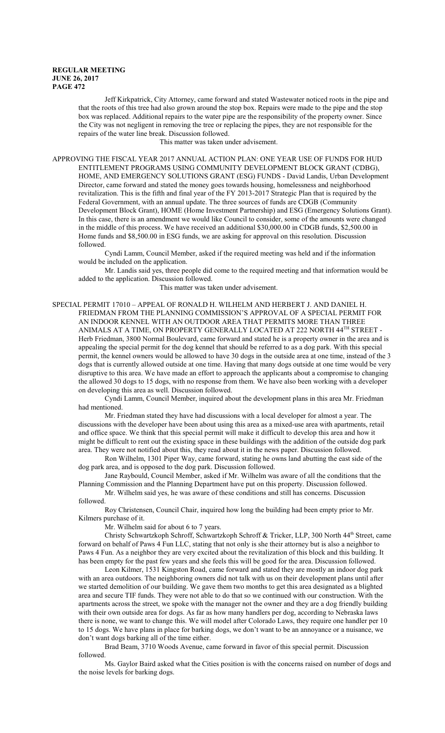Jeff Kirkpatrick, City Attorney, came forward and stated Wastewater noticed roots in the pipe and that the roots of this tree had also grown around the stop box. Repairs were made to the pipe and the stop box was replaced. Additional repairs to the water pipe are the responsibility of the property owner. Since the City was not negligent in removing the tree or replacing the pipes, they are not responsible for the repairs of the water line break. Discussion followed.

This matter was taken under advisement.

APPROVING THE FISCAL YEAR 2017 ANNUAL ACTION PLAN: ONE YEAR USE OF FUNDS FOR HUD ENTITLEMENT PROGRAMS USING COMMUNITY DEVELOPMENT BLOCK GRANT (CDBG), HOME, AND EMERGENCY SOLUTIONS GRANT (ESG) FUNDS - David Landis, Urban Development Director, came forward and stated the money goes towards housing, homelessness and neighborhood revitalization. This is the fifth and final year of the FY 2013-2017 Strategic Plan that is required by the Federal Government, with an annual update. The three sources of funds are CDGB (Community Development Block Grant), HOME (Home Investment Partnership) and ESG (Emergency Solutions Grant). In this case, there is an amendment we would like Council to consider, some of the amounts were changed in the middle of this process. We have received an additional \$30,000.00 in CDGB funds, \$2,500.00 in Home funds and \$8,500.00 in ESG funds, we are asking for approval on this resolution. Discussion followed.

Cyndi Lamm, Council Member, asked if the required meeting was held and if the information would be included on the application.

Mr. Landis said yes, three people did come to the required meeting and that information would be added to the application. Discussion followed.

This matter was taken under advisement.

SPECIAL PERMIT 17010 – APPEAL OF RONALD H. WILHELM AND HERBERT J. AND DANIEL H. FRIEDMAN FROM THE PLANNING COMMISSION'S APPROVAL OF A SPECIAL PERMIT FOR AN INDOOR KENNEL WITH AN OUTDOOR AREA THAT PERMITS MORE THAN THREE ANIMALS AT A TIME, ON PROPERTY GENERALLY LOCATED AT 222 NORTH 44<sup>TH</sup> STREET -Herb Friedman, 3800 Normal Boulevard, came forward and stated he is a property owner in the area and is appealing the special permit for the dog kennel that should be referred to as a dog park. With this special permit, the kennel owners would be allowed to have 30 dogs in the outside area at one time, instead of the 3 dogs that is currently allowed outside at one time. Having that many dogs outside at one time would be very disruptive to this area. We have made an effort to approach the applicants about a compromise to changing the allowed 30 dogs to 15 dogs, with no response from them. We have also been working with a developer on developing this area as well. Discussion followed.

Cyndi Lamm, Council Member, inquired about the development plans in this area Mr. Friedman had mentioned.

Mr. Friedman stated they have had discussions with a local developer for almost a year. The discussions with the developer have been about using this area as a mixed-use area with apartments, retail and office space. We think that this special permit will make it difficult to develop this area and how it might be difficult to rent out the existing space in these buildings with the addition of the outside dog park area. They were not notified about this, they read about it in the news paper. Discussion followed.

Ron Wilhelm, 1301 Piper Way, came forward, stating he owns land abutting the east side of the dog park area, and is opposed to the dog park. Discussion followed.

Jane Raybould, Council Member, asked if Mr. Wilhelm was aware of all the conditions that the Planning Commission and the Planning Department have put on this property. Discussion followed.

Mr. Wilhelm said yes, he was aware of these conditions and still has concerns. Discussion followed.

Roy Christensen, Council Chair, inquired how long the building had been empty prior to Mr. Kilmers purchase of it.

Mr. Wilhelm said for about 6 to 7 years.

Christy Schwartzkoph Schroff, Schwartzkoph Schroff & Tricker, LLP, 300 North 44 th Street, came forward on behalf of Paws 4 Fun LLC, stating that not only is she their attorney but is also a neighbor to Paws 4 Fun. As a neighbor they are very excited about the revitalization of this block and this building. It has been empty for the past few years and she feels this will be good for the area. Discussion followed.

Leon Kilmer, 1531 Kingston Road, came forward and stated they are mostly an indoor dog park with an area outdoors. The neighboring owners did not talk with us on their development plans until after we started demolition of our building. We gave them two months to get this area designated as a blighted area and secure TIF funds. They were not able to do that so we continued with our construction. With the apartments across the street, we spoke with the manager not the owner and they are a dog friendly building with their own outside area for dogs. As far as how many handlers per dog, according to Nebraska laws there is none, we want to change this. We will model after Colorado Laws, they require one handler per 10 to 15 dogs. We have plans in place for barking dogs, we don't want to be an annoyance or a nuisance, we don't want dogs barking all of the time either.

Brad Beam, 3710 Woods Avenue, came forward in favor of this special permit. Discussion followed.

Ms. Gaylor Baird asked what the Cities position is with the concerns raised on number of dogs and the noise levels for barking dogs.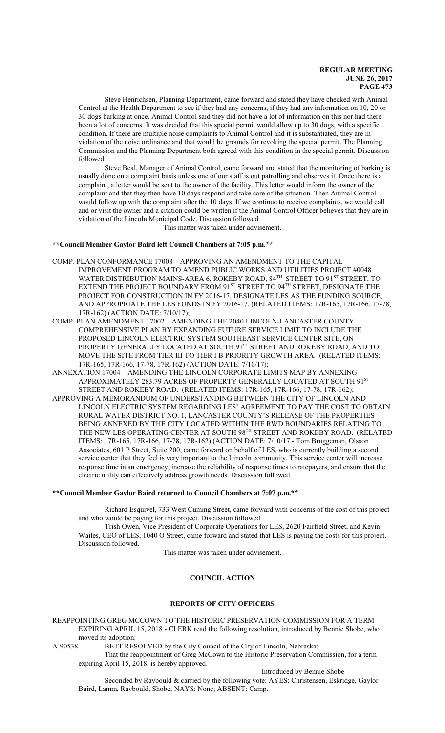Steve Henrichsen, Planning Department, came forward and stated they have checked with Animal Control at the Health Department to see if they had any concerns, if they had any information on 10, 20 or 30 dogs barking at once. Animal Control said they did not have a lot of information on this nor had there been a lot of concerns. It was decided that this special permit would allow up to 30 dogs, with a specific condition. If there are multiple noise complaints to Animal Control and it is substantiated, they are in violation of the noise ordinance and that would be grounds for revoking the special permit. The Planning Commission and the Planning Department both agreed with this condition in the special permit. Discussion followed.

Steve Beal, Manager of Animal Control, came forward and stated that the monitoring of barking is usually done on a complaint basis unless one of our staff is out patrolling and observes it. Once there is a complaint, a letter would be sent to the owner of the facility. This letter would inform the owner of the complaint and that they then have 10 days respond and take care of the situation. Then Animal Control would follow up with the complaint after the 10 days. If we continue to receive complaints, we would call and or visit the owner and a citation could be written if the Animal Control Officer believes that they are in violation of the Lincoln Municipal Code. Discussion followed.

This matter was taken under advisement.

## **\*\*Council Member Gaylor Baird left Council Chambers at 7:05 p.m.\*\***

- COMP. PLAN CONFORMANCE 17008 APPROVING AN AMENDMENT TO THE CAPITAL IMPROVEMENT PROGRAM TO AMEND PUBLIC WORKS AND UTILITIES PROJECT #0048 WATER DISTRIBUTION MAINS-AREA 6, ROKEBY ROAD, 84 TH STREET TO 91 ST STREET, TO EXTEND THE PROJECT BOUNDARY FROM 91 $^{\mathrm{ST}}$  STREET TO 94 $^{\mathrm{TH}}$  STREET, DESIGNATE THE PROJECT FOR CONSTRUCTION IN FY 2016-17, DESIGNATE LES AS THE FUNDING SOURCE, AND APPROPRIATE THE LES FUNDS IN FY 2016-17. (RELATED ITEMS: 17R-165, 17R-166, 17-78, 17R-162) (ACTION DATE: 7/10/17);
- COMP. PLAN AMENDMENT 17002 AMENDING THE 2040 LINCOLN-LANCASTER COUNTY COMPREHENSIVE PLAN BY EXPANDING FUTURE SERVICE LIMIT TO INCLUDE THE PROPOSED LINCOLN ELECTRIC SYSTEM SOUTHEAST SERVICE CENTER SITE, ON PROPERTY GENERALLY LOCATED AT SOUTH 91<sup>st</sup> STREET AND ROKEBY ROAD, AND TO MOVE THE SITE FROM TIER III TO TIER I B PRIORITY GROWTH AREA. (RELATED ITEMS: 17R-165, 17R-166, 17-78, 17R-162) (ACTION DATE: 7/10/17);
- ANNEXATION 17004 AMENDING THE LINCOLN CORPORATE LIMITS MAP BY ANNEXING APPROXIMATELY 283.79 ACRES OF PROPERTY GENERALLY LOCATED AT SOUTH 91<sup>st</sup> STREET AND ROKEBY ROAD. (RELATED ITEMS: 17R-165, 17R-166, 17-78, 17R-162);
- APPROVING A MEMORANDUM OF UNDERSTANDING BETWEEN THE CITY OF LINCOLN AND LINCOLN ELECTRIC SYSTEM REGARDING LES' AGREEMENT TO PAY THE COST TO OBTAIN RURAL WATER DISTRICT NO. 1, LANCASTER COUNTY'S RELEASE OF THE PROPERTIES BEING ANNEXED BY THE CITY LOCATED WITHIN THE RWD BOUNDARIES RELATING TO THE NEW LES OPERATING CENTER AT SOUTH 98<sup>th</sup> STREET AND ROKEBY ROAD. (RELATED ITEMS: 17R-165, 17R-166, 17-78, 17R-162) (ACTION DATE: 7/10/17 - Tom Bruggeman, Olsson Associates, 601 P Street, Suite 200, came forward on behalf of LES, who is currently building a second service center that they feel is very important to the Lincoln community. This service center will increase response time in an emergency, increase the reliability of response times to ratepayers, and ensure that the electric utility can effectively address growth needs. Discussion followed.

#### **\*\*Council Member Gaylor Baird returned to Council Chambers at 7:07 p.m.\*\***

Richard Esquivel, 733 West Cuming Street, came forward with concerns of the cost of this project and who would be paying for this project. Discussion followed.

Trish Owen, Vice President of Corporate Operations for LES, 2620 Fairfield Street, and Kevin Wailes, CEO of LES, 1040 O Street, came forward and stated that LES is paying the costs for this project. Discussion followed.

This matter was taken under advisement.

# **COUNCIL ACTION**

## **REPORTS OF CITY OFFICERS**

REAPPOINTING GREG MCCOWN TO THE HISTORIC PRESERVATION COMMISSION FOR A TERM EXPIRING APRIL 15, 2018 - CLERK read the following resolution, introduced by Bennie Shobe, who moved its adoption:<br>A-90538 BE IT RES

BE IT RESOLVED by the City Council of the City of Lincoln, Nebraska:

That the reappointment of Greg McCown to the Historic Preservation Commission, for a term expiring April 15, 2018, is hereby approved.

Introduced by Bennie Shobe

Seconded by Raybould & carried by the following vote: AYES: Christensen, Eskridge, Gaylor Baird, Lamm, Raybould, Shobe; NAYS: None; ABSENT: Camp.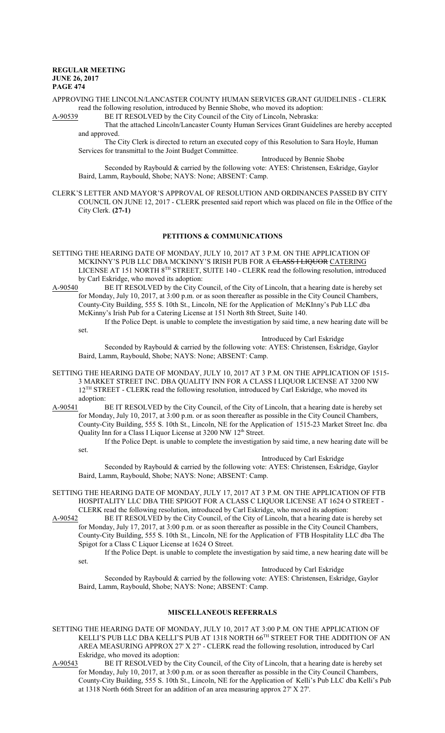APPROVING THE LINCOLN/LANCASTER COUNTY HUMAN SERVICES GRANT GUIDELINES - CLERK read the following resolution, introduced by Bennie Shobe, who moved its adoption:

A-90539 BE IT RESOLVED by the City Council of the City of Lincoln, Nebraska:

That the attached Lincoln/Lancaster County Human Services Grant Guidelines are hereby accepted and approved.

The City Clerk is directed to return an executed copy of this Resolution to Sara Hoyle, Human Services for transmittal to the Joint Budget Committee.

Introduced by Bennie Shobe

Seconded by Raybould & carried by the following vote: AYES: Christensen, Eskridge, Gaylor Baird, Lamm, Raybould, Shobe; NAYS: None; ABSENT: Camp.

CLERK'S LETTER AND MAYOR'S APPROVAL OF RESOLUTION AND ORDINANCES PASSED BY CITY COUNCIL ON JUNE 12, 2017 - CLERK presented said report which was placed on file in the Office of the City Clerk. **(27-1)**

## **PETITIONS & COMMUNICATIONS**

- SETTING THE HEARING DATE OF MONDAY, JULY 10, 2017 AT 3 P.M. ON THE APPLICATION OF MCKINNY'S PUB LLC DBA MCKINNY'S IRISH PUB FOR A CLASS I LIQUOR CATERING LICENSE AT 151 NORTH 8<sup>TH</sup> STREET, SUITE 140 - CLERK read the following resolution, introduced by Carl Eskridge, who moved its adoption:<br>A-90540 BE IT RESOLVED by the City Co
- BE IT RESOLVED by the City Council, of the City of Lincoln, that a hearing date is hereby set for Monday, July 10, 2017, at 3:00 p.m. or as soon thereafter as possible in the City Council Chambers, County-City Building, 555 S. 10th St., Lincoln, NE for the Application of McKInny's Pub LLC dba McKinny's Irish Pub for a Catering License at 151 North 8th Street, Suite 140.

If the Police Dept. is unable to complete the investigation by said time, a new hearing date will be set.

Introduced by Carl Eskridge

Seconded by Raybould & carried by the following vote: AYES: Christensen, Eskridge, Gaylor Baird, Lamm, Raybould, Shobe; NAYS: None; ABSENT: Camp.

SETTING THE HEARING DATE OF MONDAY, JULY 10, 2017 AT 3 P.M. ON THE APPLICATION OF 1515- 3 MARKET STREET INC. DBA QUALITY INN FOR A CLASS I LIQUOR LICENSE AT 3200 NW 12<sup>TH</sup> STREET - CLERK read the following resolution, introduced by Carl Eskridge, who moved its adoption:

A-90541 BE IT RESOLVED by the City Council, of the City of Lincoln, that a hearing date is hereby set for Monday, July 10, 2017, at 3:00 p.m. or as soon thereafter as possible in the City Council Chambers, County-City Building, 555 S. 10th St., Lincoln, NE for the Application of 1515-23 Market Street Inc. dba Quality Inn for a Class I Liquor License at 3200 NW 12<sup>th</sup> Street.

If the Police Dept. is unable to complete the investigation by said time, a new hearing date will be set.

Introduced by Carl Eskridge

Seconded by Raybould & carried by the following vote: AYES: Christensen, Eskridge, Gaylor Baird, Lamm, Raybould, Shobe; NAYS: None; ABSENT: Camp.

SETTING THE HEARING DATE OF MONDAY, JULY 17, 2017 AT 3 P.M. ON THE APPLICATION OF FTB HOSPITALITY LLC DBA THE SPIGOT FOR A CLASS C LIQUOR LICENSE AT 1624 O STREET - CLERK read the following resolution, introduced by Carl Eskridge, who moved its adoption:

A-90542 BE IT RESOLVED by the City Council, of the City of Lincoln, that a hearing date is hereby set for Monday, July 17, 2017, at 3:00 p.m. or as soon thereafter as possible in the City Council Chambers, County-City Building, 555 S. 10th St., Lincoln, NE for the Application of FTB Hospitality LLC dba The

Spigot for a Class C Liquor License at 1624 O Street. If the Police Dept. is unable to complete the investigation by said time, a new hearing date will be

set.

Introduced by Carl Eskridge

Seconded by Raybould & carried by the following vote: AYES: Christensen, Eskridge, Gaylor Baird, Lamm, Raybould, Shobe; NAYS: None; ABSENT: Camp.

## **MISCELLANEOUS REFERRALS**

SETTING THE HEARING DATE OF MONDAY, JULY 10, 2017 AT 3:00 P.M. ON THE APPLICATION OF KELLI'S PUB LLC DBA KELLI'S PUB AT 1318 NORTH  $66^{\text{TH}}$  STREET FOR THE ADDITION OF AN AREA MEASURING APPROX 27' X 27' - CLERK read the following resolution, introduced by Carl Eskridge, who moved its adoption:

A-90543 BE IT RESOLVED by the City Council, of the City of Lincoln, that a hearing date is hereby set for Monday, July 10, 2017, at 3:00 p.m. or as soon thereafter as possible in the City Council Chambers, County-City Building, 555 S. 10th St., Lincoln, NE for the Application of Kelli's Pub LLC dba Kelli's Pub at 1318 North 66th Street for an addition of an area measuring approx 27' X 27'.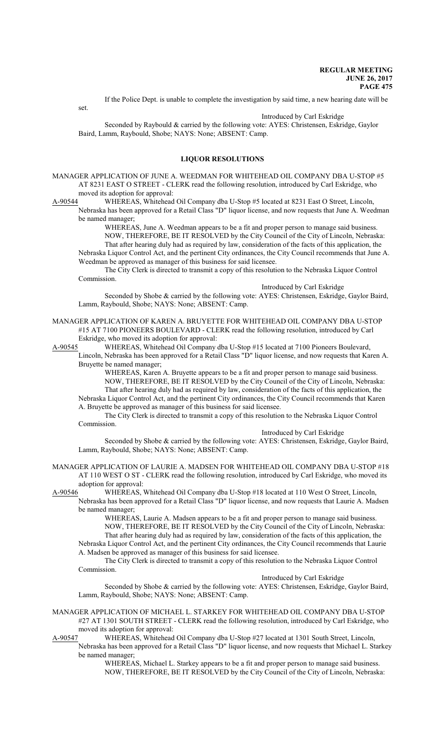set.

Introduced by Carl Eskridge

Seconded by Raybould & carried by the following vote: AYES: Christensen, Eskridge, Gaylor Baird, Lamm, Raybould, Shobe; NAYS: None; ABSENT: Camp.

If the Police Dept. is unable to complete the investigation by said time, a new hearing date will be

## **LIQUOR RESOLUTIONS**

MANAGER APPLICATION OF JUNE A. WEEDMAN FOR WHITEHEAD OIL COMPANY DBA U-STOP #5 AT 8231 EAST O STREET - CLERK read the following resolution, introduced by Carl Eskridge, who moved its adoption for approval:

A-90544 WHEREAS, Whitehead Oil Company dba U-Stop #5 located at 8231 East O Street, Lincoln, Nebraska has been approved for a Retail Class "D" liquor license, and now requests that June A. Weedman be named manager;

WHEREAS, June A. Weedman appears to be a fit and proper person to manage said business. NOW, THEREFORE, BE IT RESOLVED by the City Council of the City of Lincoln, Nebraska: That after hearing duly had as required by law, consideration of the facts of this application, the

Nebraska Liquor Control Act, and the pertinent City ordinances, the City Council recommends that June A. Weedman be approved as manager of this business for said licensee.

The City Clerk is directed to transmit a copy of this resolution to the Nebraska Liquor Control Commission.

Introduced by Carl Eskridge

Seconded by Shobe & carried by the following vote: AYES: Christensen, Eskridge, Gaylor Baird, Lamm, Raybould, Shobe; NAYS: None; ABSENT: Camp.

MANAGER APPLICATION OF KAREN A. BRUYETTE FOR WHITEHEAD OIL COMPANY DBA U-STOP #15 AT 7100 PIONEERS BOULEVARD - CLERK read the following resolution, introduced by Carl Eskridge, who moved its adoption for approval:

A-90545 WHEREAS, Whitehead Oil Company dba U-Stop #15 located at 7100 Pioneers Boulevard,

Lincoln, Nebraska has been approved for a Retail Class "D" liquor license, and now requests that Karen A. Bruyette be named manager;

WHEREAS, Karen A. Bruyette appears to be a fit and proper person to manage said business. NOW, THEREFORE, BE IT RESOLVED by the City Council of the City of Lincoln, Nebraska: That after hearing duly had as required by law, consideration of the facts of this application, the Nebraska Liquor Control Act, and the pertinent City ordinances, the City Council recommends that Karen A. Bruyette be approved as manager of this business for said licensee.

The City Clerk is directed to transmit a copy of this resolution to the Nebraska Liquor Control Commission.

Introduced by Carl Eskridge

Seconded by Shobe & carried by the following vote: AYES: Christensen, Eskridge, Gaylor Baird, Lamm, Raybould, Shobe; NAYS: None; ABSENT: Camp.

MANAGER APPLICATION OF LAURIE A. MADSEN FOR WHITEHEAD OIL COMPANY DBA U-STOP #18 AT 110 WEST O ST - CLERK read the following resolution, introduced by Carl Eskridge, who moved its adoption for approval:

A-90546 WHEREAS, Whitehead Oil Company dba U-Stop #18 located at 110 West O Street, Lincoln, Nebraska has been approved for a Retail Class "D" liquor license, and now requests that Laurie A. Madsen be named manager;

> WHEREAS, Laurie A. Madsen appears to be a fit and proper person to manage said business. NOW, THEREFORE, BE IT RESOLVED by the City Council of the City of Lincoln, Nebraska: That after hearing duly had as required by law, consideration of the facts of this application, the

Nebraska Liquor Control Act, and the pertinent City ordinances, the City Council recommends that Laurie A. Madsen be approved as manager of this business for said licensee.

The City Clerk is directed to transmit a copy of this resolution to the Nebraska Liquor Control Commission.

Introduced by Carl Eskridge

Seconded by Shobe & carried by the following vote: AYES: Christensen, Eskridge, Gaylor Baird, Lamm, Raybould, Shobe; NAYS: None; ABSENT: Camp.

MANAGER APPLICATION OF MICHAEL L. STARKEY FOR WHITEHEAD OIL COMPANY DBA U-STOP #27 AT 1301 SOUTH STREET - CLERK read the following resolution, introduced by Carl Eskridge, who moved its adoption for approval:

A-90547 WHEREAS, Whitehead Oil Company dba U-Stop #27 located at 1301 South Street, Lincoln,

Nebraska has been approved for a Retail Class "D" liquor license, and now requests that Michael L. Starkey be named manager;

WHEREAS, Michael L. Starkey appears to be a fit and proper person to manage said business. NOW, THEREFORE, BE IT RESOLVED by the City Council of the City of Lincoln, Nebraska: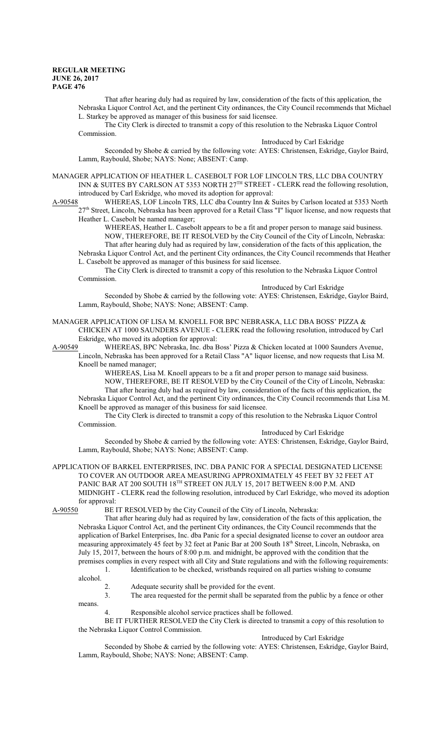That after hearing duly had as required by law, consideration of the facts of this application, the Nebraska Liquor Control Act, and the pertinent City ordinances, the City Council recommends that Michael L. Starkey be approved as manager of this business for said licensee.

The City Clerk is directed to transmit a copy of this resolution to the Nebraska Liquor Control Commission.

Introduced by Carl Eskridge

Seconded by Shobe & carried by the following vote: AYES: Christensen, Eskridge, Gaylor Baird, Lamm, Raybould, Shobe; NAYS: None; ABSENT: Camp.

MANAGER APPLICATION OF HEATHER L. CASEBOLT FOR LOF LINCOLN TRS, LLC DBA COUNTRY INN & SUITES BY CARLSON AT 5353 NORTH 27<sup>TH</sup> STREET - CLERK read the following resolution, introduced by Carl Eskridge, who moved its adoption for approval:

A-90548 WHEREAS, LOF Lincoln TRS, LLC dba Country Inn & Suites by Carlson located at 5353 North 27<sup>th</sup> Street, Lincoln, Nebraska has been approved for a Retail Class "I" liquor license, and now requests that Heather L. Casebolt be named manager;

WHEREAS, Heather L. Casebolt appears to be a fit and proper person to manage said business. NOW, THEREFORE, BE IT RESOLVED by the City Council of the City of Lincoln, Nebraska: That after hearing duly had as required by law, consideration of the facts of this application, the Nebraska Liquor Control Act, and the pertinent City ordinances, the City Council recommends that Heather

L. Casebolt be approved as manager of this business for said licensee. The City Clerk is directed to transmit a copy of this resolution to the Nebraska Liquor Control

Commission. Introduced by Carl Eskridge

Seconded by Shobe & carried by the following vote: AYES: Christensen, Eskridge, Gaylor Baird, Lamm, Raybould, Shobe; NAYS: None; ABSENT: Camp.

## MANAGER APPLICATION OF LISA M. KNOELL FOR BPC NEBRASKA, LLC DBA BOSS' PIZZA & CHICKEN AT 1000 SAUNDERS AVENUE - CLERK read the following resolution, introduced by Carl Eskridge, who moved its adoption for approval:

A-90549 WHEREAS, BPC Nebraska, Inc. dba Boss' Pizza & Chicken located at 1000 Saunders Avenue, Lincoln, Nebraska has been approved for a Retail Class "A" liquor license, and now requests that Lisa M.

Knoell be named manager;

WHEREAS, Lisa M. Knoell appears to be a fit and proper person to manage said business. NOW, THEREFORE, BE IT RESOLVED by the City Council of the City of Lincoln, Nebraska: That after hearing duly had as required by law, consideration of the facts of this application, the Nebraska Liquor Control Act, and the pertinent City ordinances, the City Council recommends that Lisa M. Knoell be approved as manager of this business for said licensee.

The City Clerk is directed to transmit a copy of this resolution to the Nebraska Liquor Control Commission.

Introduced by Carl Eskridge

Seconded by Shobe & carried by the following vote: AYES: Christensen, Eskridge, Gaylor Baird, Lamm, Raybould, Shobe; NAYS: None; ABSENT: Camp.

APPLICATION OF BARKEL ENTERPRISES, INC. DBA PANIC FOR A SPECIAL DESIGNATED LICENSE TO COVER AN OUTDOOR AREA MEASURING APPROXIMATELY 45 FEET BY 32 FEET AT PANIC BAR AT 200 SOUTH  $18^{\text{\tiny{TH}}}$  STREET ON JULY 15, 2017 BETWEEN 8:00 P.M. AND MIDNIGHT - CLERK read the following resolution, introduced by Carl Eskridge, who moved its adoption for approval:<br>A-90550 BE I

BE IT RESOLVED by the City Council of the City of Lincoln, Nebraska:

That after hearing duly had as required by law, consideration of the facts of this application, the Nebraska Liquor Control Act, and the pertinent City ordinances, the City Council recommends that the application of Barkel Enterprises, Inc. dba Panic for a special designated license to cover an outdoor area measuring approximately 45 feet by 32 feet at Panic Bar at 200 South 18<sup>th</sup> Street, Lincoln, Nebraska, on July 15, 2017, between the hours of 8:00 p.m. and midnight, be approved with the condition that the premises complies in every respect with all City and State regulations and with the following requirements:

1. Identification to be checked, wristbands required on all parties wishing to consume

- alcohol.
	- 2. Adequate security shall be provided for the event.<br>3. The area requested for the permit shall be separate

The area requested for the permit shall be separated from the public by a fence or other means.

4. Responsible alcohol service practices shall be followed.

BE IT FURTHER RESOLVED the City Clerk is directed to transmit a copy of this resolution to the Nebraska Liquor Control Commission.

Introduced by Carl Eskridge

Seconded by Shobe & carried by the following vote: AYES: Christensen, Eskridge, Gaylor Baird, Lamm, Raybould, Shobe; NAYS: None; ABSENT: Camp.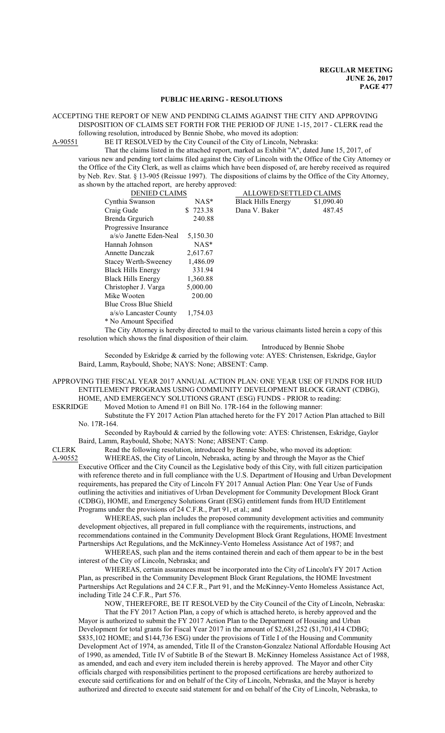## **PUBLIC HEARING - RESOLUTIONS**

#### ACCEPTING THE REPORT OF NEW AND PENDING CLAIMS AGAINST THE CITY AND APPROVING DISPOSITION OF CLAIMS SET FORTH FOR THE PERIOD OF JUNE 1-15, 2017 - CLERK read the following resolution, introduced by Bennie Shobe, who moved its adoption:

A-90551 BE IT RESOLVED by the City Council of the City of Lincoln, Nebraska:

That the claims listed in the attached report, marked as Exhibit "A", dated June 15, 2017, of various new and pending tort claims filed against the City of Lincoln with the Office of the City Attorney or the Office of the City Clerk, as well as claims which have been disposed of, are hereby received as required by Neb. Rev. Stat. § 13-905 (Reissue 1997). The dispositions of claims by the Office of the City Attorney, as shown by the attached report, are hereby approved:

| <b>DENIED CLAIMS</b>        |          | ALLOWED/SETTLED CLAIMS    |            |
|-----------------------------|----------|---------------------------|------------|
| Cynthia Swanson             | $NAS^*$  | <b>Black Hills Energy</b> | \$1,090.40 |
| Craig Gude                  | \$723.38 | Dana V. Baker             | 487.45     |
| Brenda Grgurich             | 240.88   |                           |            |
| Progressive Insurance       |          |                           |            |
| a/s/o Janette Eden-Neal     | 5,150.30 |                           |            |
| Hannah Johnson              | $NAS^*$  |                           |            |
| Annette Danczak             | 2,617.67 |                           |            |
| <b>Stacey Werth-Sweeney</b> | 1,486.09 |                           |            |
| <b>Black Hills Energy</b>   | 331.94   |                           |            |
| <b>Black Hills Energy</b>   | 1,360.88 |                           |            |
| Christopher J. Varga        | 5,000.00 |                           |            |
| Mike Wooten                 | 200.00   |                           |            |
| Blue Cross Blue Shield      |          |                           |            |
| a/s/o Lancaster County      | 1,754.03 |                           |            |
| * No Amount Specified       |          |                           |            |

The City Attorney is hereby directed to mail to the various claimants listed herein a copy of this resolution which shows the final disposition of their claim.

Introduced by Bennie Shobe

Seconded by Eskridge & carried by the following vote: AYES: Christensen, Eskridge, Gaylor Baird, Lamm, Raybould, Shobe; NAYS: None; ABSENT: Camp.

APPROVING THE FISCAL YEAR 2017 ANNUAL ACTION PLAN: ONE YEAR USE OF FUNDS FOR HUD ENTITLEMENT PROGRAMS USING COMMUNITY DEVELOPMENT BLOCK GRANT (CDBG), HOME, AND EMERGENCY SOLUTIONS GRANT (ESG) FUNDS - PRIOR to reading:

ESKRIDGE Moved Motion to Amend #1 on Bill No. 17R-164 in the following manner:

Substitute the FY 2017 Action Plan attached hereto for the FY 2017 Action Plan attached to Bill No. 17R-164.

Seconded by Raybould & carried by the following vote: AYES: Christensen, Eskridge, Gaylor Baird, Lamm, Raybould, Shobe; NAYS: None; ABSENT: Camp.

CLERK Read the following resolution, introduced by Bennie Shobe, who moved its adoption:

A-90552 WHEREAS, the City of Lincoln, Nebraska, acting by and through the Mayor as the Chief Executive Officer and the City Council as the Legislative body of this City, with full citizen participation with reference thereto and in full compliance with the U.S. Department of Housing and Urban Development requirements, has prepared the City of Lincoln FY 2017 Annual Action Plan: One Year Use of Funds outlining the activities and initiatives of Urban Development for Community Development Block Grant (CDBG), HOME, and Emergency Solutions Grant (ESG) entitlement funds from HUD Entitlement Programs under the provisions of 24 C.F.R., Part 91, et al.; and

WHEREAS, such plan includes the proposed community development activities and community development objectives, all prepared in full compliance with the requirements, instructions, and recommendations contained in the Community Development Block Grant Regulations, HOME Investment Partnerships Act Regulations, and the McKinney-Vento Homeless Assistance Act of 1987; and

WHEREAS, such plan and the items contained therein and each of them appear to be in the best interest of the City of Lincoln, Nebraska; and

WHEREAS, certain assurances must be incorporated into the City of Lincoln's FY 2017 Action Plan, as prescribed in the Community Development Block Grant Regulations, the HOME Investment Partnerships Act Regulations and 24 C.F.R., Part 91, and the McKinney-Vento Homeless Assistance Act, including Title 24 C.F.R., Part 576.

NOW, THEREFORE, BE IT RESOLVED by the City Council of the City of Lincoln, Nebraska: That the FY 2017 Action Plan, a copy of which is attached hereto, is hereby approved and the Mayor is authorized to submit the FY 2017 Action Plan to the Department of Housing and Urban Development for total grants for Fiscal Year 2017 in the amount of \$2,681,252 (\$1,701,414 CDBG; \$835,102 HOME; and \$144,736 ESG) under the provisions of Title I of the Housing and Community Development Act of 1974, as amended, Title II of the Cranston-Gonzalez National Affordable Housing Act of 1990, as amended, Title IV of Subtitle B of the Stewart B. McKinney Homeless Assistance Act of 1988, as amended, and each and every item included therein is hereby approved. The Mayor and other City

officials charged with responsibilities pertinent to the proposed certifications are hereby authorized to execute said certifications for and on behalf of the City of Lincoln, Nebraska, and the Mayor is hereby authorized and directed to execute said statement for and on behalf of the City of Lincoln, Nebraska, to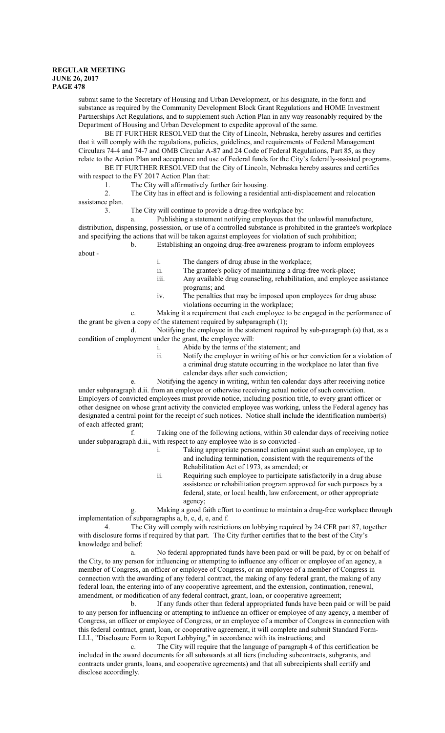submit same to the Secretary of Housing and Urban Development, or his designate, in the form and substance as required by the Community Development Block Grant Regulations and HOME Investment Partnerships Act Regulations, and to supplement such Action Plan in any way reasonably required by the Department of Housing and Urban Development to expedite approval of the same.

BE IT FURTHER RESOLVED that the City of Lincoln, Nebraska, hereby assures and certifies that it will comply with the regulations, policies, guidelines, and requirements of Federal Management Circulars 74-4 and 74-7 and OMB Circular A-87 and 24 Code of Federal Regulations, Part 85, as they relate to the Action Plan and acceptance and use of Federal funds for the City's federally-assisted programs.

BE IT FURTHER RESOLVED that the City of Lincoln, Nebraska hereby assures and certifies with respect to the FY 2017 Action Plan that:

1. The City will affirmatively further fair housing.

2. The City has in effect and is following a residential anti-displacement and relocation

assistance plan.

3. The City will continue to provide a drug-free workplace by:

a. Publishing a statement notifying employees that the unlawful manufacture, distribution, dispensing, possession, or use of a controlled substance is prohibited in the grantee's workplace and specifying the actions that will be taken against employees for violation of such prohibition; b. Establishing an ongoing drug-free awareness program to inform employees

about -

i. The dangers of drug abuse in the workplace;

- ii. The grantee's policy of maintaining a drug-free work-place;
- iii. Any available drug counseling, rehabilitation, and employee assistance programs; and
- iv. The penalties that may be imposed upon employees for drug abuse violations occurring in the workplace;

c. Making it a requirement that each employee to be engaged in the performance of the grant be given a copy of the statement required by subparagraph (1);

d. Notifying the employee in the statement required by sub-paragraph (a) that, as a condition of employment under the grant, the employee will:

- i. Abide by the terms of the statement; and
- ii. Notify the employer in writing of his or her conviction for a violation of a criminal drug statute occurring in the workplace no later than five calendar days after such conviction;
- e. Notifying the agency in writing, within ten calendar days after receiving notice

under subparagraph d.ii. from an employee or otherwise receiving actual notice of such conviction. Employers of convicted employees must provide notice, including position title, to every grant officer or other designee on whose grant activity the convicted employee was working, unless the Federal agency has designated a central point for the receipt of such notices. Notice shall include the identification number(s) of each affected grant;

f. Taking one of the following actions, within 30 calendar days of receiving notice under subparagraph d.ii., with respect to any employee who is so convicted -

- i. Taking appropriate personnel action against such an employee, up to and including termination, consistent with the requirements of the Rehabilitation Act of 1973, as amended; or
- ii. Requiring such employee to participate satisfactorily in a drug abuse assistance or rehabilitation program approved for such purposes by a federal, state, or local health, law enforcement, or other appropriate agency;

g. Making a good faith effort to continue to maintain a drug-free workplace through implementation of subparagraphs a, b, c, d, e, and f.

4. The City will comply with restrictions on lobbying required by 24 CFR part 87, together with disclosure forms if required by that part. The City further certifies that to the best of the City's knowledge and belief:

a. No federal appropriated funds have been paid or will be paid, by or on behalf of the City, to any person for influencing or attempting to influence any officer or employee of an agency, a member of Congress, an officer or employee of Congress, or an employee of a member of Congress in connection with the awarding of any federal contract, the making of any federal grant, the making of any federal loan, the entering into of any cooperative agreement, and the extension, continuation, renewal, amendment, or modification of any federal contract, grant, loan, or cooperative agreement;

b. If any funds other than federal appropriated funds have been paid or will be paid to any person for influencing or attempting to influence an officer or employee of any agency, a member of Congress, an officer or employee of Congress, or an employee of a member of Congress in connection with this federal contract, grant, loan, or cooperative agreement, it will complete and submit Standard Form-LLL, "Disclosure Form to Report Lobbying," in accordance with its instructions; and

c. The City will require that the language of paragraph 4 of this certification be included in the award documents for all subawards at all tiers (including subcontracts, subgrants, and contracts under grants, loans, and cooperative agreements) and that all subrecipients shall certify and disclose accordingly.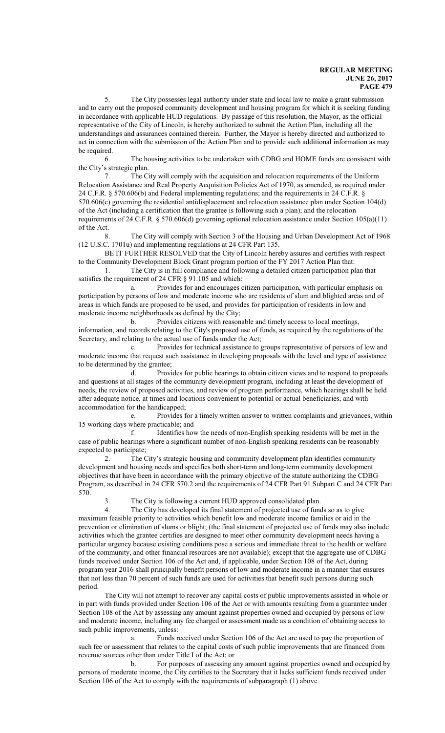5. The City possesses legal authority under state and local law to make a grant submission and to carry out the proposed community development and housing program for which it is seeking funding in accordance with applicable HUD regulations. By passage of this resolution, the Mayor, as the official representative of the City of Lincoln, is hereby authorized to submit the Action Plan, including all the understandings and assurances contained therein. Further, the Mayor is hereby directed and authorized to act in connection with the submission of the Action Plan and to provide such additional information as may be required.

6. The housing activities to be undertaken with CDBG and HOME funds are consistent with the City's strategic plan.

7. The City will comply with the acquisition and relocation requirements of the Uniform Relocation Assistance and Real Property Acquisition Policies Act of 1970, as amended, as required under 24 C.F.R. § 570.606(b) and Federal implementing regulations; and the requirements in 24 C.F.R. § 570.606(c) governing the residential antidisplacement and relocation assistance plan under Section 104(d) of the Act (including a certification that the grantee is following such a plan); and the relocation requirements of 24 C.F.R. § 570.606(d) governing optional relocation assistance under Section 105(a)(11) of the Act.

8. The City will comply with Section 3 of the Housing and Urban Development Act of 1968 (12 U.S.C. 1701u) and implementing regulations at 24 CFR Part 135.

BE IT FURTHER RESOLVED that the City of Lincoln hereby assures and certifies with respect to the Community Development Block Grant program portion of the FY 2017 Action Plan that:

1. The City is in full compliance and following a detailed citizen participation plan that satisfies the requirement of 24 CFR § 91.105 and which:

a. Provides for and encourages citizen participation, with particular emphasis on participation by persons of low and moderate income who are residents of slum and blighted areas and of areas in which funds are proposed to be used, and provides for participation of residents in low and moderate income neighborhoods as defined by the City;

b. Provides citizens with reasonable and timely access to local meetings, information, and records relating to the City's proposed use of funds, as required by the regulations of the Secretary, and relating to the actual use of funds under the Act;

c. Provides for technical assistance to groups representative of persons of low and moderate income that request such assistance in developing proposals with the level and type of assistance to be determined by the grantee;

d. Provides for public hearings to obtain citizen views and to respond to proposals and questions at all stages of the community development program, including at least the development of needs, the review of proposed activities, and review of program performance, which hearings shall be held after adequate notice, at times and locations convenient to potential or actual beneficiaries, and with accommodation for the handicapped;

e. Provides for a timely written answer to written complaints and grievances, within 15 working days where practicable; and

f. Identifies how the needs of non-English speaking residents will be met in the case of public hearings where a significant number of non-English speaking residents can be reasonably expected to participate;

2. The City's strategic housing and community development plan identifies community development and housing needs and specifies both short-term and long-term community development objectives that have been in accordance with the primary objective of the statute authorizing the CDBG Program, as described in 24 CFR 570.2 and the requirements of 24 CFR Part 91 Subpart C and 24 CFR Part 570.

The City is following a current HUD approved consolidated plan.

4. The City has developed its final statement of projected use of funds so as to give maximum feasible priority to activities which benefit low and moderate income families or aid in the prevention or elimination of slums or blight; (the final statement of projected use of funds may also include activities which the grantee certifies are designed to meet other community development needs having a particular urgency because existing conditions pose a serious and immediate threat to the health or welfare of the community, and other financial resources are not available); except that the aggregate use of CDBG funds received under Section 106 of the Act and, if applicable, under Section 108 of the Act, during program year 2016 shall principally benefit persons of low and moderate income in a manner that ensures that not less than 70 percent of such funds are used for activities that benefit such persons during such period.

The City will not attempt to recover any capital costs of public improvements assisted in whole or in part with funds provided under Section 106 of the Act or with amounts resulting from a guarantee under Section 108 of the Act by assessing any amount against properties owned and occupied by persons of low and moderate income, including any fee charged or assessment made as a condition of obtaining access to such public improvements, unless:

a. Funds received under Section 106 of the Act are used to pay the proportion of such fee or assessment that relates to the capital costs of such public improvements that are financed from revenue sources other than under Title I of the Act; or

b. For purposes of assessing any amount against properties owned and occupied by persons of moderate income, the City certifies to the Secretary that it lacks sufficient funds received under Section 106 of the Act to comply with the requirements of subparagraph (1) above.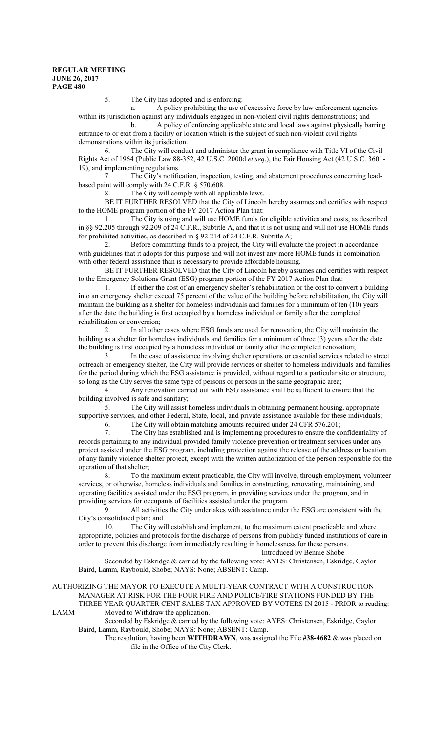5. The City has adopted and is enforcing:

a. A policy prohibiting the use of excessive force by law enforcement agencies within its jurisdiction against any individuals engaged in non-violent civil rights demonstrations; and

b. A policy of enforcing applicable state and local laws against physically barring entrance to or exit from a facility or location which is the subject of such non-violent civil rights demonstrations within its jurisdiction.

6. The City will conduct and administer the grant in compliance with Title VI of the Civil Rights Act of 1964 (Public Law 88-352, 42 U.S.C. 2000d *et seq*.), the Fair Housing Act (42 U.S.C. 3601- 19), and implementing regulations.

7. The City's notification, inspection, testing, and abatement procedures concerning leadbased paint will comply with 24 C.F.R. § 570.608.

8. The City will comply with all applicable laws.

BE IT FURTHER RESOLVED that the City of Lincoln hereby assumes and certifies with respect to the HOME program portion of the FY 2017 Action Plan that:

1. The City is using and will use HOME funds for eligible activities and costs, as described in §§ 92.205 through 92.209 of 24 C.F.R., Subtitle A, and that it is not using and will not use HOME funds for prohibited activities, as described in § 92.214 of 24 C.F.R. Subtitle A;

2. Before committing funds to a project, the City will evaluate the project in accordance with guidelines that it adopts for this purpose and will not invest any more HOME funds in combination with other federal assistance than is necessary to provide affordable housing.

BE IT FURTHER RESOLVED that the City of Lincoln hereby assumes and certifies with respect to the Emergency Solutions Grant (ESG) program portion of the FY 2017 Action Plan that:

1. If either the cost of an emergency shelter's rehabilitation or the cost to convert a building into an emergency shelter exceed 75 percent of the value of the building before rehabilitation, the City will maintain the building as a shelter for homeless individuals and families for a minimum of ten (10) years after the date the building is first occupied by a homeless individual or family after the completed rehabilitation or conversion;

2. In all other cases where ESG funds are used for renovation, the City will maintain the building as a shelter for homeless individuals and families for a minimum of three (3) years after the date the building is first occupied by a homeless individual or family after the completed renovation;

3. In the case of assistance involving shelter operations or essential services related to street outreach or emergency shelter, the City will provide services or shelter to homeless individuals and families for the period during which the ESG assistance is provided, without regard to a particular site or structure, so long as the City serves the same type of persons or persons in the same geographic area;

4. Any renovation carried out with ESG assistance shall be sufficient to ensure that the building involved is safe and sanitary;

5. The City will assist homeless individuals in obtaining permanent housing, appropriate supportive services, and other Federal, State, local, and private assistance available for these individuals;

6. The City will obtain matching amounts required under 24 CFR 576.201;

7. The City has established and is implementing procedures to ensure the confidentiality of records pertaining to any individual provided family violence prevention or treatment services under any project assisted under the ESG program, including protection against the release of the address or location of any family violence shelter project, except with the written authorization of the person responsible for the operation of that shelter;

8. To the maximum extent practicable, the City will involve, through employment, volunteer services, or otherwise, homeless individuals and families in constructing, renovating, maintaining, and operating facilities assisted under the ESG program, in providing services under the program, and in providing services for occupants of facilities assisted under the program.

9. All activities the City undertakes with assistance under the ESG are consistent with the City's consolidated plan; and

10. The City will establish and implement, to the maximum extent practicable and where appropriate, policies and protocols for the discharge of persons from publicly funded institutions of care in order to prevent this discharge from immediately resulting in homelessness for these persons.

Introduced by Bennie Shobe

Seconded by Eskridge & carried by the following vote: AYES: Christensen, Eskridge, Gaylor Baird, Lamm, Raybould, Shobe; NAYS: None; ABSENT: Camp.

AUTHORIZING THE MAYOR TO EXECUTE A MULTI-YEAR CONTRACT WITH A CONSTRUCTION MANAGER AT RISK FOR THE FOUR FIRE AND POLICE/FIRE STATIONS FUNDED BY THE THREE YEAR QUARTER CENT SALES TAX APPROVED BY VOTERS IN 2015 - PRIOR to reading: LAMM Moved to Withdraw the application.

Seconded by Eskridge & carried by the following vote: AYES: Christensen, Eskridge, Gaylor Baird, Lamm, Raybould, Shobe; NAYS: None; ABSENT: Camp.

The resolution, having been **WITHDRAWN**, was assigned the File **#38-4682** & was placed on file in the Office of the City Clerk.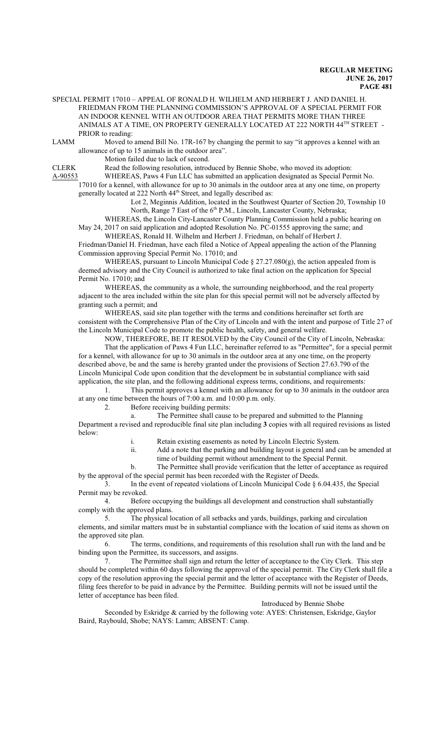SPECIAL PERMIT 17010 – APPEAL OF RONALD H. WILHELM AND HERBERT J. AND DANIEL H. FRIEDMAN FROM THE PLANNING COMMISSION'S APPROVAL OF A SPECIAL PERMIT FOR AN INDOOR KENNEL WITH AN OUTDOOR AREA THAT PERMITS MORE THAN THREE ANIMALS AT A TIME, ON PROPERTY GENERALLY LOCATED AT 222 NORTH 44<sup>TH</sup> STREET -PRIOR to reading:

LAMM Moved to amend Bill No. 17R-167 by changing the permit to say "it approves a kennel with an allowance of up to 15 animals in the outdoor area".

Motion failed due to lack of second.

CLERK Read the following resolution, introduced by Bennie Shobe, who moved its adoption:

A-90553 WHEREAS, Paws 4 Fun LLC has submitted an application designated as Special Permit No. 17010 for a kennel, with allowance for up to 30 animals in the outdoor area at any one time, on property generally located at 222 North 44<sup>th</sup> Street, and legally described as:

> Lot 2, Meginnis Addition, located in the Southwest Quarter of Section 20, Township 10 North, Range 7 East of the 6<sup>th</sup> P.M., Lincoln, Lancaster County, Nebraska;

WHEREAS, the Lincoln City-Lancaster County Planning Commission held a public hearing on May 24, 2017 on said application and adopted Resolution No. PC-01555 approving the same; and WHEREAS, Ronald H. Wilhelm and Herbert J. Friedman, on behalf of Herbert J.

Friedman/Daniel H. Friedman, have each filed a Notice of Appeal appealing the action of the Planning Commission approving Special Permit No. 17010; and

WHEREAS, pursuant to Lincoln Municipal Code  $\S 27.27.080(g)$ , the action appealed from is deemed advisory and the City Council is authorized to take final action on the application for Special Permit No. 17010; and

WHEREAS, the community as a whole, the surrounding neighborhood, and the real property adjacent to the area included within the site plan for this special permit will not be adversely affected by granting such a permit; and

WHEREAS, said site plan together with the terms and conditions hereinafter set forth are consistent with the Comprehensive Plan of the City of Lincoln and with the intent and purpose of Title 27 of the Lincoln Municipal Code to promote the public health, safety, and general welfare.

NOW, THEREFORE, BE IT RESOLVED by the City Council of the City of Lincoln, Nebraska:

That the application of Paws 4 Fun LLC, hereinafter referred to as "Permittee", for a special permit for a kennel, with allowance for up to 30 animals in the outdoor area at any one time, on the property described above, be and the same is hereby granted under the provisions of Section 27.63.790 of the Lincoln Municipal Code upon condition that the development be in substantial compliance with said application, the site plan, and the following additional express terms, conditions, and requirements:

1. This permit approves a kennel with an allowance for up to 30 animals in the outdoor area at any one time between the hours of 7:00 a.m. and 10:00 p.m. only.

2. Before receiving building permits:

a. The Permittee shall cause to be prepared and submitted to the Planning Department a revised and reproducible final site plan including **3** copies with all required revisions as listed below:

i. Retain existing easements as noted by Lincoln Electric System.

ii. Add a note that the parking and building layout is general and can be amended at time of building permit without amendment to the Special Permit.

b. The Permittee shall provide verification that the letter of acceptance as required by the approval of the special permit has been recorded with the Register of Deeds.

3. In the event of repeated violations of Lincoln Municipal Code § 6.04.435, the Special Permit may be revoked.

4. Before occupying the buildings all development and construction shall substantially comply with the approved plans.

5. The physical location of all setbacks and yards, buildings, parking and circulation elements, and similar matters must be in substantial compliance with the location of said items as shown on the approved site plan.

6. The terms, conditions, and requirements of this resolution shall run with the land and be binding upon the Permittee, its successors, and assigns.

7. The Permittee shall sign and return the letter of acceptance to the City Clerk. This step should be completed within 60 days following the approval of the special permit. The City Clerk shall file a copy of the resolution approving the special permit and the letter of acceptance with the Register of Deeds, filing fees therefor to be paid in advance by the Permittee. Building permits will not be issued until the letter of acceptance has been filed.

# Introduced by Bennie Shobe

Seconded by Eskridge & carried by the following vote: AYES: Christensen, Eskridge, Gaylor Baird, Raybould, Shobe; NAYS: Lamm; ABSENT: Camp.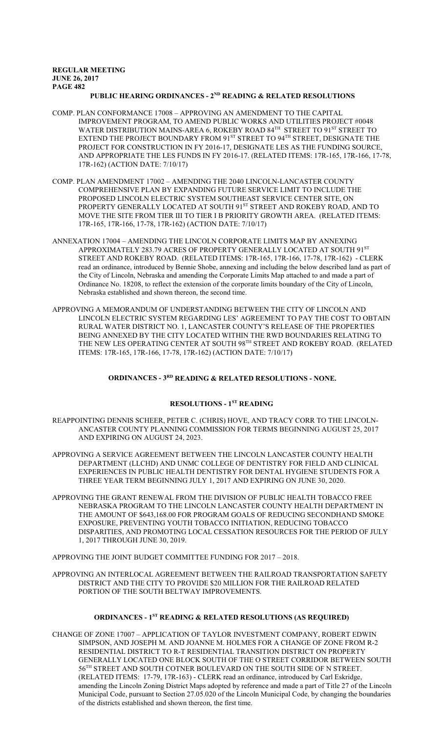## PUBLIC HEARING ORDINANCES - 2<sup>ND</sup> READING & RELATED RESOLUTIONS

- COMP. PLAN CONFORMANCE 17008 APPROVING AN AMENDMENT TO THE CAPITAL IMPROVEMENT PROGRAM, TO AMEND PUBLIC WORKS AND UTILITIES PROJECT #0048 WATER DISTRIBUTION MAINS-AREA 6, ROKEBY ROAD  $84^{\text{\tiny{TH}}}$  STREET TO  $91^{\text{\tiny{ST}}}$  STREET TO EXTEND THE PROJECT BOUNDARY FROM 91 $^{\mathrm{ST}}$  STREET TO 94 $^{\mathrm{TH}}$  STREET, DESIGNATE THE PROJECT FOR CONSTRUCTION IN FY 2016-17, DESIGNATE LES AS THE FUNDING SOURCE, AND APPROPRIATE THE LES FUNDS IN FY 2016-17. (RELATED ITEMS: 17R-165, 17R-166, 17-78, 17R-162) (ACTION DATE: 7/10/17)
- COMP. PLAN AMENDMENT 17002 AMENDING THE 2040 LINCOLN-LANCASTER COUNTY COMPREHENSIVE PLAN BY EXPANDING FUTURE SERVICE LIMIT TO INCLUDE THE PROPOSED LINCOLN ELECTRIC SYSTEM SOUTHEAST SERVICE CENTER SITE, ON PROPERTY GENERALLY LOCATED AT SOUTH 91<sup>st</sup> STREET AND ROKEBY ROAD, AND TO MOVE THE SITE FROM TIER III TO TIER I B PRIORITY GROWTH AREA. (RELATED ITEMS: 17R-165, 17R-166, 17-78, 17R-162) (ACTION DATE: 7/10/17)
- ANNEXATION 17004 AMENDING THE LINCOLN CORPORATE LIMITS MAP BY ANNEXING APPROXIMATELY 283.79 ACRES OF PROPERTY GENERALLY LOCATED AT SOUTH 91<sup>st</sup> STREET AND ROKEBY ROAD. (RELATED ITEMS: 17R-165, 17R-166, 17-78, 17R-162) - CLERK read an ordinance, introduced by Bennie Shobe, annexing and including the below described land as part of the City of Lincoln, Nebraska and amending the Corporate Limits Map attached to and made a part of Ordinance No. 18208, to reflect the extension of the corporate limits boundary of the City of Lincoln, Nebraska established and shown thereon, the second time.
- APPROVING A MEMORANDUM OF UNDERSTANDING BETWEEN THE CITY OF LINCOLN AND LINCOLN ELECTRIC SYSTEM REGARDING LES' AGREEMENT TO PAY THE COST TO OBTAIN RURAL WATER DISTRICT NO. 1, LANCASTER COUNTY'S RELEASE OF THE PROPERTIES BEING ANNEXED BY THE CITY LOCATED WITHIN THE RWD BOUNDARIES RELATING TO THE NEW LES OPERATING CENTER AT SOUTH 98<sup>th</sup> STREET AND ROKEBY ROAD. (RELATED ITEMS: 17R-165, 17R-166, 17-78, 17R-162) (ACTION DATE: 7/10/17)

## **ORDINANCES - 3RD READING & RELATED RESOLUTIONS - NONE.**

# **RESOLUTIONS - 1ST READING**

- REAPPOINTING DENNIS SCHEER, PETER C. (CHRIS) HOVE, AND TRACY CORR TO THE LINCOLN-ANCASTER COUNTY PLANNING COMMISSION FOR TERMS BEGINNING AUGUST 25, 2017 AND EXPIRING ON AUGUST 24, 2023.
- APPROVING A SERVICE AGREEMENT BETWEEN THE LINCOLN LANCASTER COUNTY HEALTH DEPARTMENT (LLCHD) AND UNMC COLLEGE OF DENTISTRY FOR FIELD AND CLINICAL EXPERIENCES IN PUBLIC HEALTH DENTISTRY FOR DENTAL HYGIENE STUDENTS FOR A THREE YEAR TERM BEGINNING JULY 1, 2017 AND EXPIRING ON JUNE 30, 2020.
- APPROVING THE GRANT RENEWAL FROM THE DIVISION OF PUBLIC HEALTH TOBACCO FREE NEBRASKA PROGRAM TO THE LINCOLN LANCASTER COUNTY HEALTH DEPARTMENT IN THE AMOUNT OF \$643,168.00 FOR PROGRAM GOALS OF REDUCING SECONDHAND SMOKE EXPOSURE, PREVENTING YOUTH TOBACCO INITIATION, REDUCING TOBACCO DISPARITIES, AND PROMOTING LOCAL CESSATION RESOURCES FOR THE PERIOD OF JULY 1, 2017 THROUGH JUNE 30, 2019.

APPROVING THE JOINT BUDGET COMMITTEE FUNDING FOR 2017 – 2018.

APPROVING AN INTERLOCAL AGREEMENT BETWEEN THE RAILROAD TRANSPORTATION SAFETY DISTRICT AND THE CITY TO PROVIDE \$20 MILLION FOR THE RAILROAD RELATED PORTION OF THE SOUTH BELTWAY IMPROVEMENTS.

# **ORDINANCES - 1ST READING & RELATED RESOLUTIONS (AS REQUIRED)**

CHANGE OF ZONE 17007 – APPLICATION OF TAYLOR INVESTMENT COMPANY, ROBERT EDWIN SIMPSON, AND JOSEPH M. AND JOANNE M. HOLMES FOR A CHANGE OF ZONE FROM R-2 RESIDENTIAL DISTRICT TO R-T RESIDENTIAL TRANSITION DISTRICT ON PROPERTY GENERALLY LOCATED ONE BLOCK SOUTH OF THE O STREET CORRIDOR BETWEEN SOUTH 56 TH STREET AND SOUTH COTNER BOULEVARD ON THE SOUTH SIDE OF N STREET. (RELATED ITEMS: 17-79, 17R-163) - CLERK read an ordinance, introduced by Carl Eskridge, amending the Lincoln Zoning District Maps adopted by reference and made a part of Title 27 of the Lincoln Municipal Code, pursuant to Section 27.05.020 of the Lincoln Municipal Code, by changing the boundaries of the districts established and shown thereon, the first time.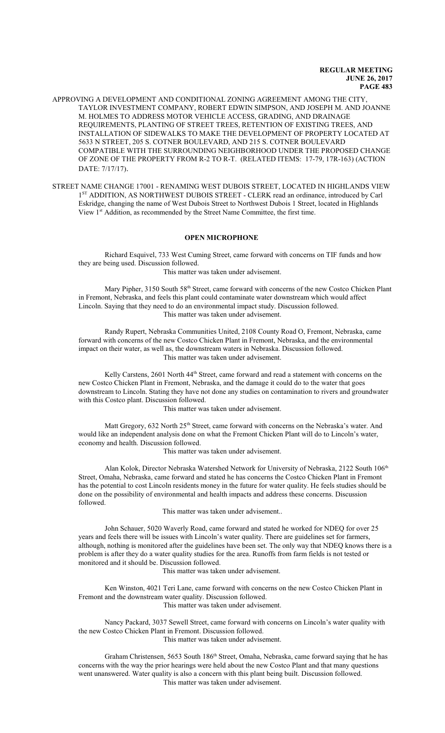APPROVING A DEVELOPMENT AND CONDITIONAL ZONING AGREEMENT AMONG THE CITY, TAYLOR INVESTMENT COMPANY, ROBERT EDWIN SIMPSON, AND JOSEPH M. AND JOANNE M. HOLMES TO ADDRESS MOTOR VEHICLE ACCESS, GRADING, AND DRAINAGE REQUIREMENTS, PLANTING OF STREET TREES, RETENTION OF EXISTING TREES, AND INSTALLATION OF SIDEWALKS TO MAKE THE DEVELOPMENT OF PROPERTY LOCATED AT 5633 N STREET, 205 S. COTNER BOULEVARD, AND 215 S. COTNER BOULEVARD COMPATIBLE WITH THE SURROUNDING NEIGHBORHOOD UNDER THE PROPOSED CHANGE OF ZONE OF THE PROPERTY FROM R-2 TO R-T. (RELATED ITEMS: 17-79, 17R-163) (ACTION DATE: 7/17/17).

STREET NAME CHANGE 17001 - RENAMING WEST DUBOIS STREET, LOCATED IN HIGHLANDS VIEW 1<sup>ST</sup> ADDITION, AS NORTHWEST DUBOIS STREET - CLERK read an ordinance, introduced by Carl Eskridge, changing the name of West Dubois Street to Northwest Dubois 1 Street, located in Highlands View 1<sup>st</sup> Addition, as recommended by the Street Name Committee, the first time.

# **OPEN MICROPHONE**

Richard Esquivel, 733 West Cuming Street, came forward with concerns on TIF funds and how they are being used. Discussion followed.

This matter was taken under advisement.

Mary Pipher, 3150 South 58<sup>th</sup> Street, came forward with concerns of the new Costco Chicken Plant in Fremont, Nebraska, and feels this plant could contaminate water downstream which would affect Lincoln. Saying that they need to do an environmental impact study. Discussion followed. This matter was taken under advisement.

Randy Rupert, Nebraska Communities United, 2108 County Road O, Fremont, Nebraska, came forward with concerns of the new Costco Chicken Plant in Fremont, Nebraska, and the environmental impact on their water, as well as, the downstream waters in Nebraska. Discussion followed. This matter was taken under advisement.

Kelly Carstens, 2601 North 44<sup>th</sup> Street, came forward and read a statement with concerns on the new Costco Chicken Plant in Fremont, Nebraska, and the damage it could do to the water that goes downstream to Lincoln. Stating they have not done any studies on contamination to rivers and groundwater with this Costco plant. Discussion followed.

This matter was taken under advisement.

Matt Gregory, 632 North 25<sup>th</sup> Street, came forward with concerns on the Nebraska's water. And would like an independent analysis done on what the Fremont Chicken Plant will do to Lincoln's water, economy and health. Discussion followed.

This matter was taken under advisement.

Alan Kolok, Director Nebraska Watershed Network for University of Nebraska, 2122 South 106<sup>th</sup> Street, Omaha, Nebraska, came forward and stated he has concerns the Costco Chicken Plant in Fremont has the potential to cost Lincoln residents money in the future for water quality. He feels studies should be done on the possibility of environmental and health impacts and address these concerns. Discussion followed.

This matter was taken under advisement..

John Schauer, 5020 Waverly Road, came forward and stated he worked for NDEQ for over 25 years and feels there will be issues with Lincoln's water quality. There are guidelines set for farmers, although, nothing is monitored after the guidelines have been set. The only way that NDEQ knows there is a problem is after they do a water quality studies for the area. Runoffs from farm fields is not tested or monitored and it should be. Discussion followed.

This matter was taken under advisement.

Ken Winston, 4021 Teri Lane, came forward with concerns on the new Costco Chicken Plant in Fremont and the downstream water quality. Discussion followed.

This matter was taken under advisement.

Nancy Packard, 3037 Sewell Street, came forward with concerns on Lincoln's water quality with the new Costco Chicken Plant in Fremont. Discussion followed. This matter was taken under advisement.

Graham Christensen, 5653 South 186<sup>th</sup> Street, Omaha, Nebraska, came forward saying that he has concerns with the way the prior hearings were held about the new Costco Plant and that many questions went unanswered. Water quality is also a concern with this plant being built. Discussion followed. This matter was taken under advisement.